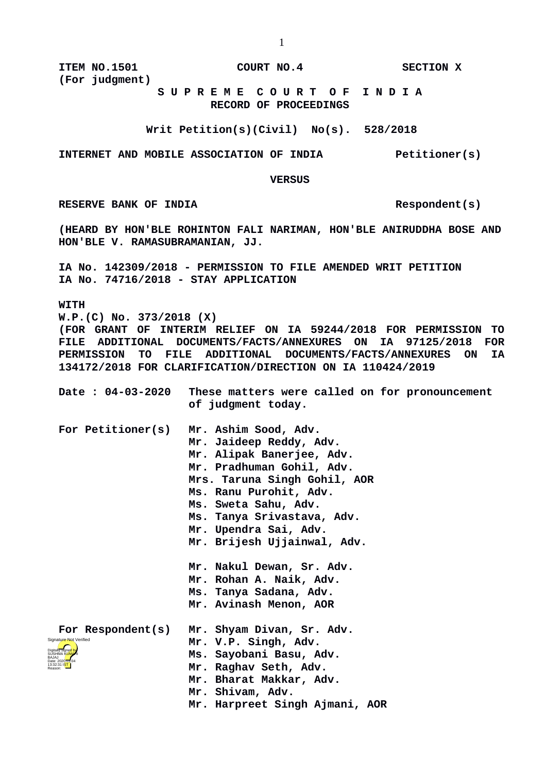**ITEM NO.1501 COURT NO.4 SECTION X (For judgment)**

 **S U P R E M E C O U R T O F I N D I A RECORD OF PROCEEDINGS**

**Writ Petition(s)(Civil) No(s). 528/2018**

**INTERNET AND MOBILE ASSOCIATION OF INDIA Petitioner(s)**

 **VERSUS**

RESERVE BANK OF INDIA Respondent(s)

**(HEARD BY HON'BLE ROHINTON FALI NARIMAN, HON'BLE ANIRUDDHA BOSE AND HON'BLE V. RAMASUBRAMANIAN, JJ.** 

**IA No. 142309/2018 - PERMISSION TO FILE AMENDED WRIT PETITION IA No. 74716/2018 - STAY APPLICATION**

**WITH**

**W.P.(C) No. 373/2018 (X) (FOR GRANT OF INTERIM RELIEF ON IA 59244/2018 FOR PERMISSION TO FILE ADDITIONAL DOCUMENTS/FACTS/ANNEXURES ON IA 97125/2018 FOR PERMISSION TO FILE ADDITIONAL DOCUMENTS/FACTS/ANNEXURES ON IA 134172/2018 FOR CLARIFICATION/DIRECTION ON IA 110424/2019**

| Date : 04-03-2020                           | These matters were called on for pronouncement<br>of judgment today.                                                                                                                                                                                                                               |
|---------------------------------------------|----------------------------------------------------------------------------------------------------------------------------------------------------------------------------------------------------------------------------------------------------------------------------------------------------|
| For Petitioner(s)                           | Mr. Ashim Sood, Adv.<br>Mr. Jaideep Reddy, Adv.<br>Mr. Alipak Banerjee, Adv.<br>Mr. Pradhuman Gohil, Adv.<br>Mrs. Taruna Singh Gohil, AOR<br>Ms. Ranu Purohit, Adv.<br>Ms. Sweta Sahu, Adv.<br>Ms. Tanya Srivastava, Adv.<br>Mr. Upendra Sai, Adv.<br>Mr. Brijesh Ujjainwal, Adv.                  |
| For Respondent(s)<br>Signature Not Verified | Mr. Nakul Dewan, Sr. Adv.<br>Mr. Rohan A. Naik, Adv.<br>Ms. Tanya Sadana, Adv.<br>Mr. Avinash Menon, AOR<br>Mr. Shyam Divan, Sr. Adv.<br>Mr. V.P. Singh, Adv.<br>Ms. Sayobani Basu, Adv.<br>Mr. Raghav Seth, Adv.<br>Mr. Bharat Makkar, Adv.<br>Mr. Shivam, Adv.<br>Mr. Harpreet Singh Ajmani, AOR |